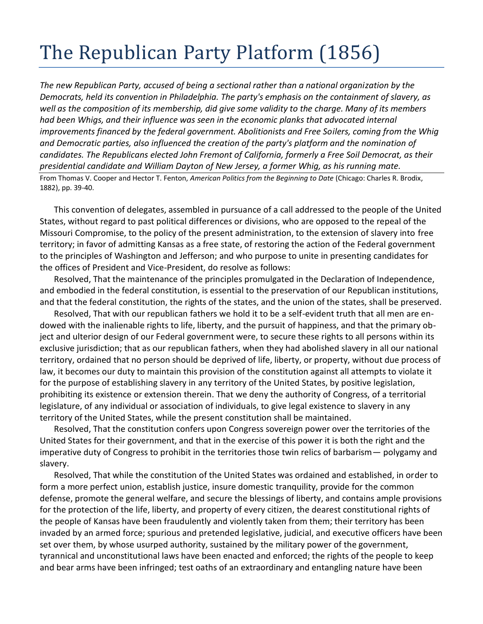## The Republican Party Platform (1856)

*The new Republican Party, accused of being a sectional rather than a national organization by the Democrats, held its convention in Philadelphia. The party's emphasis on the containment of slavery, as well as the composition of its membership, did give some validity to the charge. Many of its members*  had been Whigs, and their influence was seen in the economic planks that advocated internal *improvements financed by the federal government. Abolitionists and Free Soilers, coming from the Whig and Democratic parties, also influenced the creation of the party's platform and the nomination of candidates. The Republicans elected John Fremont of California, formerly a Free Soil Democrat, as their presidential candidate and William Dayton of New Jersey, a former Whig, as his running mate.*

From Thomas V. Cooper and Hector T. Fenton, *American Politics from the Beginning to Date* (Chicago: Charles R. Brodix, 1882), pp. 39-40.

This convention of delegates, assembled in pursuance of a call addressed to the people of the United States, without regard to past political differences or divisions, who are opposed to the repeal of the Missouri Compromise, to the policy of the present administration, to the extension of slavery into free territory; in favor of admitting Kansas as a free state, of restoring the action of the Federal government to the principles of Washington and Jefferson; and who purpose to unite in presenting candidates for the offices of President and Vice-President, do resolve as follows:

Resolved, That the maintenance of the principles promulgated in the Declaration of Independence, and embodied in the federal constitution, is essential to the preservation of our Republican institutions, and that the federal constitution, the rights of the states, and the union of the states, shall be preserved.

Resolved, That with our republican fathers we hold it to be a self-evident truth that all men are endowed with the inalienable rights to life, liberty, and the pursuit of happiness, and that the primary object and ulterior design of our Federal government were, to secure these rights to all persons within its exclusive jurisdiction; that as our republican fathers, when they had abolished slavery in all our national territory, ordained that no person should be deprived of life, liberty, or property, without due process of law, it becomes our duty to maintain this provision of the constitution against all attempts to violate it for the purpose of establishing slavery in any territory of the United States, by positive legislation, prohibiting its existence or extension therein. That we deny the authority of Congress, of a territorial legislature, of any individual or association of individuals, to give legal existence to slavery in any territory of the United States, while the present constitution shall be maintained.

Resolved, That the constitution confers upon Congress sovereign power over the territories of the United States for their government, and that in the exercise of this power it is both the right and the imperative duty of Congress to prohibit in the territories those twin relics of barbarism— polygamy and slavery.

Resolved, That while the constitution of the United States was ordained and established, in order to form a more perfect union, establish justice, insure domestic tranquility, provide for the common defense, promote the general welfare, and secure the blessings of liberty, and contains ample provisions for the protection of the life, liberty, and property of every citizen, the dearest constitutional rights of the people of Kansas have been fraudulently and violently taken from them; their territory has been invaded by an armed force; spurious and pretended legislative, judicial, and executive officers have been set over them, by whose usurped authority, sustained by the military power of the government, tyrannical and unconstitutional laws have been enacted and enforced; the rights of the people to keep and bear arms have been infringed; test oaths of an extraordinary and entangling nature have been